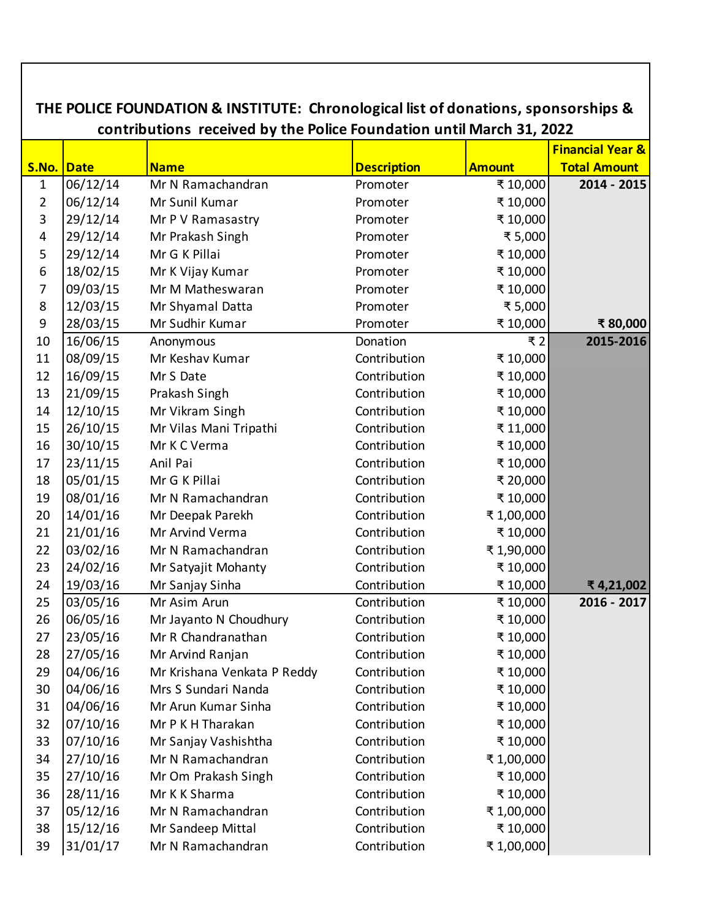| THE POLICE FOUNDATION & INSTITUTE: Chronological list of donations, sponsorships &<br>contributions received by the Police Foundation until March 31, 2022 |                             |                             |                    |               |                     |
|------------------------------------------------------------------------------------------------------------------------------------------------------------|-----------------------------|-----------------------------|--------------------|---------------|---------------------|
|                                                                                                                                                            | <b>Financial Year &amp;</b> |                             |                    |               |                     |
| S.No. Date                                                                                                                                                 |                             | <b>Name</b>                 | <b>Description</b> | <b>Amount</b> | <b>Total Amount</b> |
| $\mathbf{1}$                                                                                                                                               | 06/12/14                    | Mr N Ramachandran           | Promoter           | ₹ 10,000      | 2014 - 2015         |
| $\overline{2}$                                                                                                                                             | 06/12/14                    | Mr Sunil Kumar              | Promoter           | ₹ 10,000      |                     |
| 3                                                                                                                                                          | 29/12/14                    | Mr P V Ramasastry           | Promoter           | ₹ 10,000      |                     |
| $\overline{\mathbf{4}}$                                                                                                                                    | 29/12/14                    | Mr Prakash Singh            | Promoter           | ₹ 5,000       |                     |
| 5                                                                                                                                                          | 29/12/14                    | Mr G K Pillai               | Promoter           | ₹ 10,000      |                     |
| 6                                                                                                                                                          | 18/02/15                    | Mr K Vijay Kumar            | Promoter           | ₹ 10,000      |                     |
| 7                                                                                                                                                          | 09/03/15                    | Mr M Matheswaran            | Promoter           | ₹ 10,000      |                     |
| 8                                                                                                                                                          | 12/03/15                    | Mr Shyamal Datta            | Promoter           | ₹5,000        |                     |
| 9                                                                                                                                                          | 28/03/15                    | Mr Sudhir Kumar             | Promoter           | ₹ 10,000      | ₹80,000             |
| 10                                                                                                                                                         | 16/06/15                    | Anonymous                   | Donation           | ₹2            | 2015-2016           |
| 11                                                                                                                                                         | 08/09/15                    | Mr Keshav Kumar             | Contribution       | ₹ 10,000      |                     |
| 12                                                                                                                                                         | 16/09/15                    | Mr S Date                   | Contribution       | ₹ 10,000      |                     |
| 13                                                                                                                                                         | 21/09/15                    | Prakash Singh               | Contribution       | ₹ 10,000      |                     |
| 14                                                                                                                                                         | 12/10/15                    | Mr Vikram Singh             | Contribution       | ₹ 10,000      |                     |
| 15                                                                                                                                                         | 26/10/15                    | Mr Vilas Mani Tripathi      | Contribution       | ₹11,000       |                     |
| 16                                                                                                                                                         | 30/10/15                    | Mr K C Verma                | Contribution       | ₹ 10,000      |                     |
| 17                                                                                                                                                         | 23/11/15                    | Anil Pai                    | Contribution       | ₹ 10,000      |                     |
| 18                                                                                                                                                         | 05/01/15                    | Mr G K Pillai               | Contribution       | ₹ 20,000      |                     |
| 19                                                                                                                                                         | 08/01/16                    | Mr N Ramachandran           | Contribution       | ₹ 10,000      |                     |
| 20                                                                                                                                                         | 14/01/16                    | Mr Deepak Parekh            | Contribution       | ₹1,00,000     |                     |
| 21                                                                                                                                                         | 21/01/16                    | Mr Arvind Verma             | Contribution       | ₹ 10,000      |                     |
| 22                                                                                                                                                         | 03/02/16                    | Mr N Ramachandran           | Contribution       | ₹1,90,000     |                     |
| 23                                                                                                                                                         | 24/02/16                    | Mr Satyajit Mohanty         | Contribution       | ₹ 10,000      |                     |
| 24                                                                                                                                                         | 19/03/16                    | Mr Sanjay Sinha             | Contribution       | ₹ 10,000      | ₹4,21,002           |
| 25                                                                                                                                                         | 03/05/16                    | Mr Asim Arun                | Contribution       | ₹ 10,000      | 2016 - 2017         |
| 26                                                                                                                                                         | 06/05/16                    | Mr Jayanto N Choudhury      | Contribution       | ₹ 10,000      |                     |
| 27                                                                                                                                                         | 23/05/16                    | Mr R Chandranathan          | Contribution       | ₹ 10,000      |                     |
| 28                                                                                                                                                         | 27/05/16                    | Mr Arvind Ranjan            | Contribution       | ₹ 10,000      |                     |
| 29                                                                                                                                                         | 04/06/16                    | Mr Krishana Venkata P Reddy | Contribution       | ₹ 10,000      |                     |
| 30                                                                                                                                                         | 04/06/16                    | Mrs S Sundari Nanda         | Contribution       | ₹ 10,000      |                     |
| 31                                                                                                                                                         | 04/06/16                    | Mr Arun Kumar Sinha         | Contribution       | ₹ 10,000      |                     |
| 32                                                                                                                                                         | 07/10/16                    | Mr P K H Tharakan           | Contribution       | ₹ 10,000      |                     |
| 33                                                                                                                                                         | 07/10/16                    | Mr Sanjay Vashishtha        | Contribution       | ₹ 10,000      |                     |
| 34                                                                                                                                                         | 27/10/16                    | Mr N Ramachandran           | Contribution       | ₹1,00,000     |                     |
| 35                                                                                                                                                         | 27/10/16                    | Mr Om Prakash Singh         | Contribution       | ₹ 10,000      |                     |
| 36                                                                                                                                                         | 28/11/16                    | Mr K K Sharma               | Contribution       | ₹ 10,000      |                     |
| 37                                                                                                                                                         | 05/12/16                    | Mr N Ramachandran           | Contribution       | ₹1,00,000     |                     |
| 38                                                                                                                                                         | 15/12/16                    | Mr Sandeep Mittal           | Contribution       | ₹ 10,000      |                     |
| 39                                                                                                                                                         | 31/01/17                    | Mr N Ramachandran           | Contribution       | ₹1,00,000     |                     |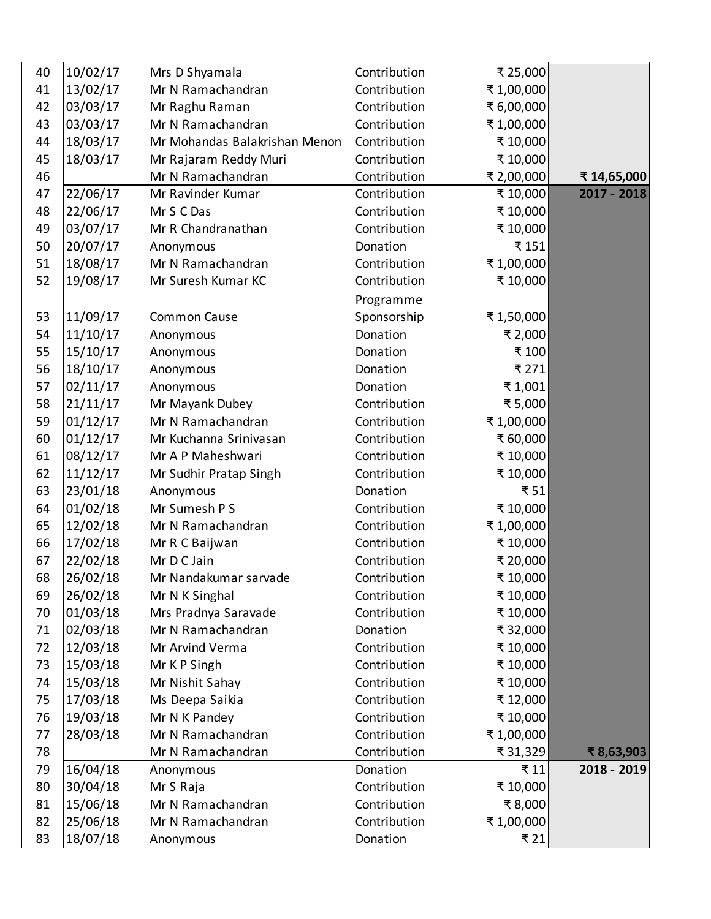| 40 | 10/02/17 | Mrs D Shyamala                | Contribution | ₹ 25,000   |             |
|----|----------|-------------------------------|--------------|------------|-------------|
| 41 | 13/02/17 | Mr N Ramachandran             | Contribution | ₹1,00,000  |             |
| 42 | 03/03/17 | Mr Raghu Raman                | Contribution | ₹ 6,00,000 |             |
| 43 | 03/03/17 | Mr N Ramachandran             | Contribution | ₹1,00,000  |             |
| 44 | 18/03/17 | Mr Mohandas Balakrishan Menon | Contribution | ₹ 10,000   |             |
| 45 | 18/03/17 | Mr Rajaram Reddy Muri         | Contribution | ₹ 10,000   |             |
| 46 |          | Mr N Ramachandran             | Contribution | ₹ 2,00,000 | ₹ 14,65,000 |
| 47 | 22/06/17 | Mr Ravinder Kumar             | Contribution | ₹ 10,000   | 2017 - 2018 |
| 48 | 22/06/17 | Mr S C Das                    | Contribution | ₹ 10,000   |             |
| 49 | 03/07/17 | Mr R Chandranathan            | Contribution | ₹ 10,000   |             |
| 50 | 20/07/17 | Anonymous                     | Donation     | ₹151       |             |
| 51 | 18/08/17 | Mr N Ramachandran             | Contribution | ₹1,00,000  |             |
| 52 | 19/08/17 | Mr Suresh Kumar KC            | Contribution | ₹ 10,000   |             |
|    |          |                               | Programme    |            |             |
| 53 | 11/09/17 | <b>Common Cause</b>           | Sponsorship  | ₹1,50,000  |             |
| 54 | 11/10/17 | Anonymous                     | Donation     | ₹ 2,000    |             |
| 55 | 15/10/17 | Anonymous                     | Donation     | ₹ 100      |             |
| 56 | 18/10/17 | Anonymous                     | Donation     | ₹ 271      |             |
| 57 | 02/11/17 | Anonymous                     | Donation     | ₹1,001     |             |
| 58 | 21/11/17 | Mr Mayank Dubey               | Contribution | ₹5,000     |             |
| 59 | 01/12/17 | Mr N Ramachandran             | Contribution | ₹1,00,000  |             |
| 60 | 01/12/17 | Mr Kuchanna Srinivasan        | Contribution | ₹ 60,000   |             |
| 61 | 08/12/17 | Mr A P Maheshwari             | Contribution | ₹ 10,000   |             |
| 62 | 11/12/17 | Mr Sudhir Pratap Singh        | Contribution | ₹ 10,000   |             |
| 63 | 23/01/18 | Anonymous                     | Donation     | ₹51        |             |
| 64 | 01/02/18 | Mr Sumesh P S                 | Contribution | ₹ 10,000   |             |
| 65 | 12/02/18 | Mr N Ramachandran             | Contribution | ₹1,00,000  |             |
| 66 | 17/02/18 | Mr R C Baijwan                | Contribution | ₹ 10,000   |             |
| 67 | 22/02/18 | Mr D C Jain                   | Contribution | ₹ 20,000   |             |
| 68 | 26/02/18 | Mr Nandakumar sarvade         | Contribution | ₹ 10,000   |             |
| 69 | 26/02/18 | Mr N K Singhal                | Contribution | ₹ 10,000   |             |
| 70 | 01/03/18 | Mrs Pradnya Saravade          | Contribution | ₹ 10,000   |             |
| 71 | 02/03/18 | Mr N Ramachandran             | Donation     | ₹ 32,000   |             |
| 72 | 12/03/18 | Mr Arvind Verma               | Contribution | ₹ 10,000   |             |
| 73 | 15/03/18 | Mr K P Singh                  | Contribution | ₹ 10,000   |             |
| 74 | 15/03/18 | Mr Nishit Sahay               | Contribution | ₹ 10,000   |             |
| 75 | 17/03/18 | Ms Deepa Saikia               | Contribution | ₹ 12,000   |             |
| 76 | 19/03/18 | Mr N K Pandey                 | Contribution | ₹ 10,000   |             |
| 77 | 28/03/18 | Mr N Ramachandran             | Contribution | ₹1,00,000  |             |
| 78 |          | Mr N Ramachandran             | Contribution | ₹ 31,329   | ₹8,63,903   |
| 79 | 16/04/18 | Anonymous                     | Donation     | ₹11        | 2018 - 2019 |
| 80 | 30/04/18 | Mr S Raja                     | Contribution | ₹ 10,000   |             |
| 81 | 15/06/18 | Mr N Ramachandran             | Contribution | ₹8,000     |             |
| 82 | 25/06/18 | Mr N Ramachandran             | Contribution | ₹1,00,000  |             |
| 83 | 18/07/18 | Anonymous                     | Donation     | ₹ 21       |             |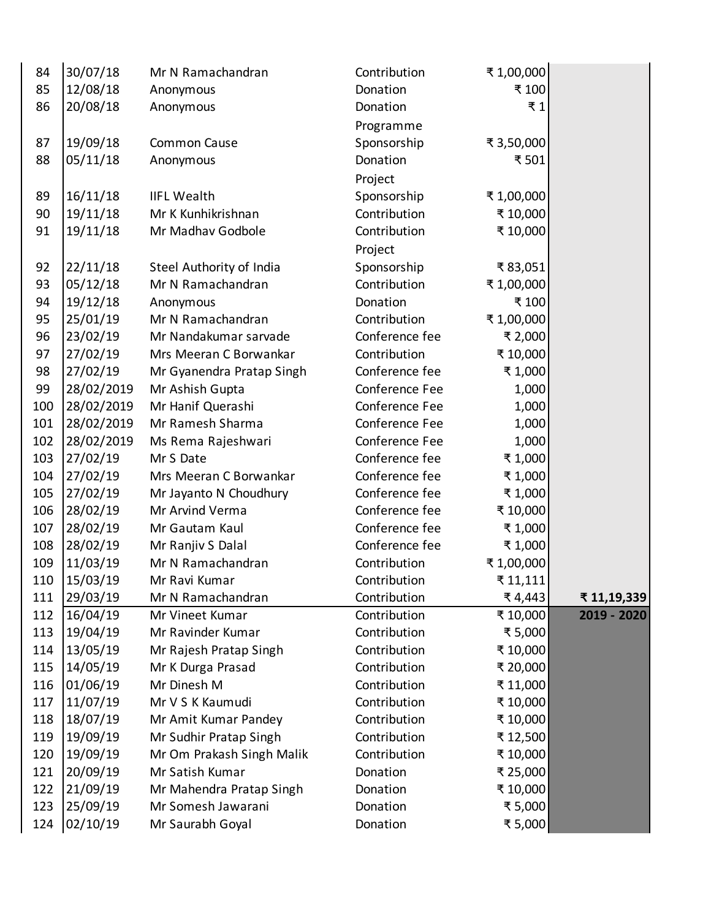| 84  | 30/07/18   | Mr N Ramachandran         | Contribution   | ₹1,00,000  |             |
|-----|------------|---------------------------|----------------|------------|-------------|
| 85  | 12/08/18   | Anonymous                 | Donation       | ₹ 100      |             |
| 86  | 20/08/18   | Anonymous                 | Donation       | ₹1         |             |
|     |            |                           | Programme      |            |             |
| 87  | 19/09/18   | Common Cause              | Sponsorship    | ₹ 3,50,000 |             |
| 88  | 05/11/18   | Anonymous                 | Donation       | ₹ 501      |             |
|     |            |                           | Project        |            |             |
| 89  | 16/11/18   | <b>IIFL Wealth</b>        | Sponsorship    | ₹1,00,000  |             |
| 90  | 19/11/18   | Mr K Kunhikrishnan        | Contribution   | ₹ 10,000   |             |
| 91  | 19/11/18   | Mr Madhav Godbole         | Contribution   | ₹ 10,000   |             |
|     |            |                           | Project        |            |             |
| 92  | 22/11/18   | Steel Authority of India  | Sponsorship    | ₹83,051    |             |
| 93  | 05/12/18   | Mr N Ramachandran         | Contribution   | ₹1,00,000  |             |
| 94  | 19/12/18   | Anonymous                 | Donation       | ₹ 100      |             |
| 95  | 25/01/19   | Mr N Ramachandran         | Contribution   | ₹1,00,000  |             |
| 96  | 23/02/19   | Mr Nandakumar sarvade     | Conference fee | ₹ 2,000    |             |
| 97  | 27/02/19   | Mrs Meeran C Borwankar    | Contribution   | ₹ 10,000   |             |
| 98  | 27/02/19   | Mr Gyanendra Pratap Singh | Conference fee | ₹1,000     |             |
| 99  | 28/02/2019 | Mr Ashish Gupta           | Conference Fee | 1,000      |             |
| 100 | 28/02/2019 | Mr Hanif Querashi         | Conference Fee | 1,000      |             |
| 101 | 28/02/2019 | Mr Ramesh Sharma          | Conference Fee | 1,000      |             |
| 102 | 28/02/2019 | Ms Rema Rajeshwari        | Conference Fee | 1,000      |             |
| 103 | 27/02/19   | Mr S Date                 | Conference fee | ₹1,000     |             |
| 104 | 27/02/19   | Mrs Meeran C Borwankar    | Conference fee | ₹1,000     |             |
| 105 | 27/02/19   | Mr Jayanto N Choudhury    | Conference fee | ₹1,000     |             |
| 106 | 28/02/19   | Mr Arvind Verma           | Conference fee | ₹ 10,000   |             |
| 107 | 28/02/19   | Mr Gautam Kaul            | Conference fee | ₹1,000     |             |
| 108 | 28/02/19   | Mr Ranjiv S Dalal         | Conference fee | ₹1,000     |             |
| 109 | 11/03/19   | Mr N Ramachandran         | Contribution   | ₹1,00,000  |             |
| 110 | 15/03/19   | Mr Ravi Kumar             | Contribution   | ₹ 11,111   |             |
| 111 | 29/03/19   | Mr N Ramachandran         | Contribution   | ₹ 4,443    | ₹11,19,339  |
| 112 | 16/04/19   | Mr Vineet Kumar           | Contribution   | ₹ 10,000   | 2019 - 2020 |
| 113 | 19/04/19   | Mr Ravinder Kumar         | Contribution   | ₹5,000     |             |
| 114 | 13/05/19   | Mr Rajesh Pratap Singh    | Contribution   | ₹ 10,000   |             |
| 115 | 14/05/19   | Mr K Durga Prasad         | Contribution   | ₹ 20,000   |             |
| 116 | 01/06/19   | Mr Dinesh M               | Contribution   | ₹ 11,000   |             |
| 117 | 11/07/19   | Mr V S K Kaumudi          | Contribution   | ₹ 10,000   |             |
| 118 | 18/07/19   | Mr Amit Kumar Pandey      | Contribution   | ₹ 10,000   |             |
| 119 | 19/09/19   | Mr Sudhir Pratap Singh    | Contribution   | ₹12,500    |             |
| 120 | 19/09/19   | Mr Om Prakash Singh Malik | Contribution   | ₹ 10,000   |             |
| 121 | 20/09/19   | Mr Satish Kumar           | Donation       | ₹ 25,000   |             |
| 122 | 21/09/19   | Mr Mahendra Pratap Singh  | Donation       | ₹ 10,000   |             |
| 123 | 25/09/19   | Mr Somesh Jawarani        | Donation       | ₹5,000     |             |
| 124 | 02/10/19   | Mr Saurabh Goyal          | Donation       | ₹5,000     |             |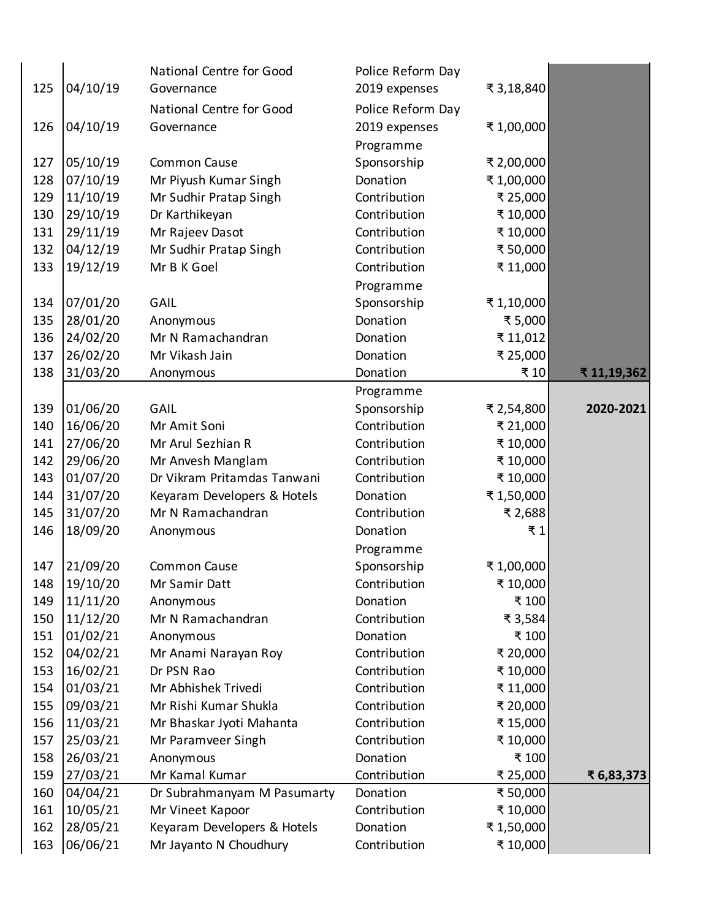|     |          | National Centre for Good    | Police Reform Day |            |            |
|-----|----------|-----------------------------|-------------------|------------|------------|
| 125 | 04/10/19 | Governance                  | 2019 expenses     | ₹ 3,18,840 |            |
|     |          | National Centre for Good    | Police Reform Day |            |            |
| 126 | 04/10/19 | Governance                  | 2019 expenses     | ₹1,00,000  |            |
|     |          |                             | Programme         |            |            |
| 127 | 05/10/19 | Common Cause                | Sponsorship       | ₹ 2,00,000 |            |
| 128 | 07/10/19 | Mr Piyush Kumar Singh       | Donation          | ₹1,00,000  |            |
| 129 | 11/10/19 | Mr Sudhir Pratap Singh      | Contribution      | ₹ 25,000   |            |
| 130 | 29/10/19 | Dr Karthikeyan              | Contribution      | ₹ 10,000   |            |
| 131 | 29/11/19 | Mr Rajeev Dasot             | Contribution      | ₹10,000    |            |
| 132 | 04/12/19 | Mr Sudhir Pratap Singh      | Contribution      | ₹ 50,000   |            |
| 133 | 19/12/19 | Mr B K Goel                 | Contribution      | ₹ 11,000   |            |
|     |          |                             | Programme         |            |            |
| 134 | 07/01/20 | GAIL                        | Sponsorship       | ₹1,10,000  |            |
| 135 | 28/01/20 | Anonymous                   | Donation          | ₹5,000     |            |
| 136 | 24/02/20 | Mr N Ramachandran           | Donation          | ₹11,012    |            |
| 137 | 26/02/20 | Mr Vikash Jain              | Donation          | ₹ 25,000   |            |
| 138 | 31/03/20 | Anonymous                   | Donation          | ₹ 10       | ₹11,19,362 |
|     |          |                             | Programme         |            |            |
| 139 | 01/06/20 | GAIL                        | Sponsorship       | ₹ 2,54,800 | 2020-2021  |
| 140 | 16/06/20 | Mr Amit Soni                | Contribution      | ₹ 21,000   |            |
| 141 | 27/06/20 | Mr Arul Sezhian R           | Contribution      | ₹ 10,000   |            |
| 142 | 29/06/20 | Mr Anvesh Manglam           | Contribution      | ₹ 10,000   |            |
| 143 | 01/07/20 | Dr Vikram Pritamdas Tanwani | Contribution      | ₹ 10,000   |            |
| 144 | 31/07/20 | Keyaram Developers & Hotels | Donation          | ₹1,50,000  |            |
| 145 | 31/07/20 | Mr N Ramachandran           | Contribution      | ₹ 2,688    |            |
| 146 | 18/09/20 | Anonymous                   | Donation          | ₹1         |            |
|     |          |                             | Programme         |            |            |
| 147 | 21/09/20 | <b>Common Cause</b>         | Sponsorship       | ₹1,00,000  |            |
| 148 | 19/10/20 | Mr Samir Datt               | Contribution      | ₹ 10,000   |            |
| 149 | 11/11/20 | Anonymous                   | Donation          | ₹ 100      |            |
| 150 | 11/12/20 | Mr N Ramachandran           | Contribution      | ₹ 3,584    |            |
| 151 | 01/02/21 | Anonymous                   | Donation          | ₹ 100      |            |
| 152 | 04/02/21 | Mr Anami Narayan Roy        | Contribution      | ₹ 20,000   |            |
| 153 | 16/02/21 | Dr PSN Rao                  | Contribution      | ₹ 10,000   |            |
| 154 | 01/03/21 | Mr Abhishek Trivedi         | Contribution      | ₹11,000    |            |
| 155 | 09/03/21 | Mr Rishi Kumar Shukla       | Contribution      | ₹ 20,000   |            |
| 156 | 11/03/21 | Mr Bhaskar Jyoti Mahanta    | Contribution      | ₹ 15,000   |            |
| 157 | 25/03/21 | Mr Paramveer Singh          | Contribution      | ₹ 10,000   |            |
| 158 | 26/03/21 | Anonymous                   | Donation          | ₹ 100      |            |
| 159 | 27/03/21 | Mr Kamal Kumar              | Contribution      | ₹ 25,000   | ₹ 6,83,373 |
| 160 | 04/04/21 | Dr Subrahmanyam M Pasumarty | Donation          | ₹ 50,000   |            |
| 161 | 10/05/21 | Mr Vineet Kapoor            | Contribution      | ₹ 10,000   |            |
| 162 | 28/05/21 | Keyaram Developers & Hotels | Donation          | ₹1,50,000  |            |
| 163 | 06/06/21 | Mr Jayanto N Choudhury      | Contribution      | ₹ 10,000   |            |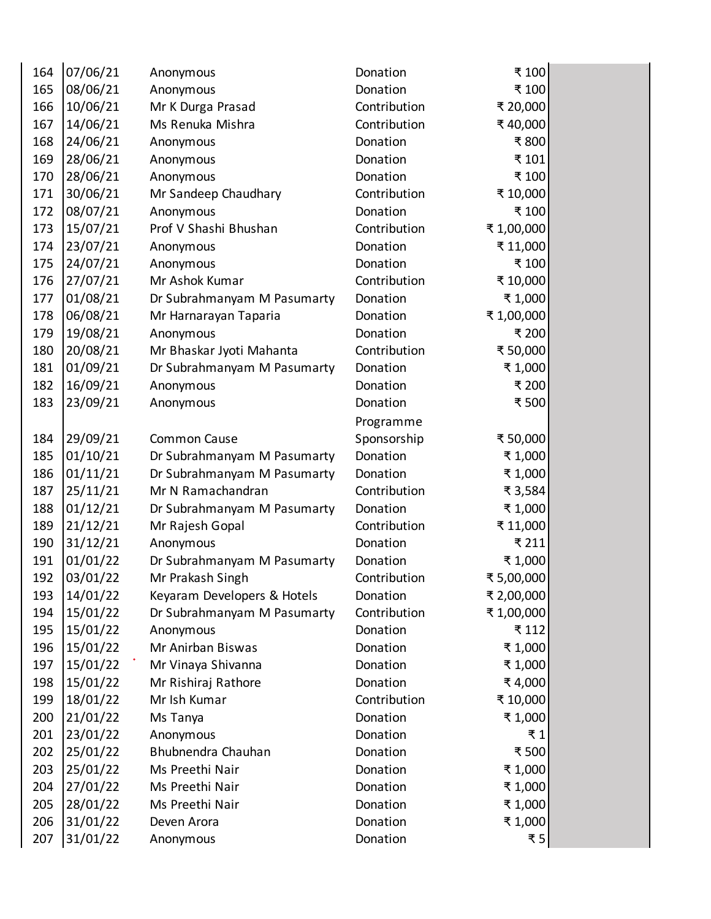| 164 | 07/06/21 | Anonymous                   | Donation     | ₹ 100      |
|-----|----------|-----------------------------|--------------|------------|
| 165 | 08/06/21 | Anonymous                   | Donation     | ₹ 100      |
| 166 | 10/06/21 | Mr K Durga Prasad           | Contribution | ₹ 20,000   |
| 167 | 14/06/21 | Ms Renuka Mishra            | Contribution | ₹40,000    |
| 168 | 24/06/21 | Anonymous                   | Donation     | ₹800       |
| 169 | 28/06/21 | Anonymous                   | Donation     | ₹ 101      |
| 170 | 28/06/21 | Anonymous                   | Donation     | ₹ 100      |
| 171 | 30/06/21 | Mr Sandeep Chaudhary        | Contribution | ₹ 10,000   |
| 172 | 08/07/21 | Anonymous                   | Donation     | ₹ 100      |
| 173 | 15/07/21 | Prof V Shashi Bhushan       | Contribution | ₹1,00,000  |
| 174 | 23/07/21 | Anonymous                   | Donation     | ₹ 11,000   |
| 175 | 24/07/21 | Anonymous                   | Donation     | ₹ 100      |
| 176 | 27/07/21 | Mr Ashok Kumar              | Contribution | ₹ 10,000   |
| 177 | 01/08/21 | Dr Subrahmanyam M Pasumarty | Donation     | ₹1,000     |
| 178 | 06/08/21 | Mr Harnarayan Taparia       | Donation     | ₹1,00,000  |
| 179 | 19/08/21 | Anonymous                   | Donation     | ₹ 200      |
| 180 | 20/08/21 | Mr Bhaskar Jyoti Mahanta    | Contribution | ₹ 50,000   |
| 181 | 01/09/21 | Dr Subrahmanyam M Pasumarty | Donation     | ₹1,000     |
| 182 | 16/09/21 | Anonymous                   | Donation     | ₹ 200      |
| 183 | 23/09/21 | Anonymous                   | Donation     | ₹500       |
|     |          |                             | Programme    |            |
| 184 | 29/09/21 | <b>Common Cause</b>         | Sponsorship  | ₹ 50,000   |
| 185 | 01/10/21 | Dr Subrahmanyam M Pasumarty | Donation     | ₹1,000     |
| 186 | 01/11/21 | Dr Subrahmanyam M Pasumarty | Donation     | ₹1,000     |
| 187 | 25/11/21 | Mr N Ramachandran           | Contribution | ₹ 3,584    |
| 188 | 01/12/21 | Dr Subrahmanyam M Pasumarty | Donation     | ₹ 1,000    |
| 189 | 21/12/21 | Mr Rajesh Gopal             | Contribution | ₹ 11,000   |
| 190 | 31/12/21 | Anonymous                   | Donation     | ₹ 211      |
| 191 | 01/01/22 | Dr Subrahmanyam M Pasumarty | Donation     | ₹1,000     |
| 192 | 03/01/22 | Mr Prakash Singh            | Contribution | ₹ 5,00,000 |
| 193 | 14/01/22 | Keyaram Developers & Hotels | Donation     | ₹ 2,00,000 |
| 194 | 15/01/22 | Dr Subrahmanyam M Pasumarty | Contribution | ₹1,00,000  |
| 195 | 15/01/22 | Anonymous                   | Donation     | ₹ 112      |
| 196 | 15/01/22 | Mr Anirban Biswas           | Donation     | ₹1,000     |
| 197 | 15/01/22 | Mr Vinaya Shivanna          | Donation     | ₹1,000     |
| 198 | 15/01/22 | Mr Rishiraj Rathore         | Donation     | ₹4,000     |
| 199 | 18/01/22 | Mr Ish Kumar                | Contribution | ₹ 10,000   |
| 200 | 21/01/22 | Ms Tanya                    | Donation     | ₹1,000     |
| 201 | 23/01/22 | Anonymous                   | Donation     | ₹1         |
| 202 | 25/01/22 | Bhubnendra Chauhan          | Donation     | ₹500       |
| 203 | 25/01/22 | Ms Preethi Nair             | Donation     | ₹1,000     |
| 204 | 27/01/22 | Ms Preethi Nair             | Donation     | ₹1,000     |
| 205 | 28/01/22 | Ms Preethi Nair             | Donation     | ₹1,000     |
| 206 | 31/01/22 | Deven Arora                 | Donation     | ₹1,000     |
| 207 | 31/01/22 | Anonymous                   | Donation     | ₹5         |